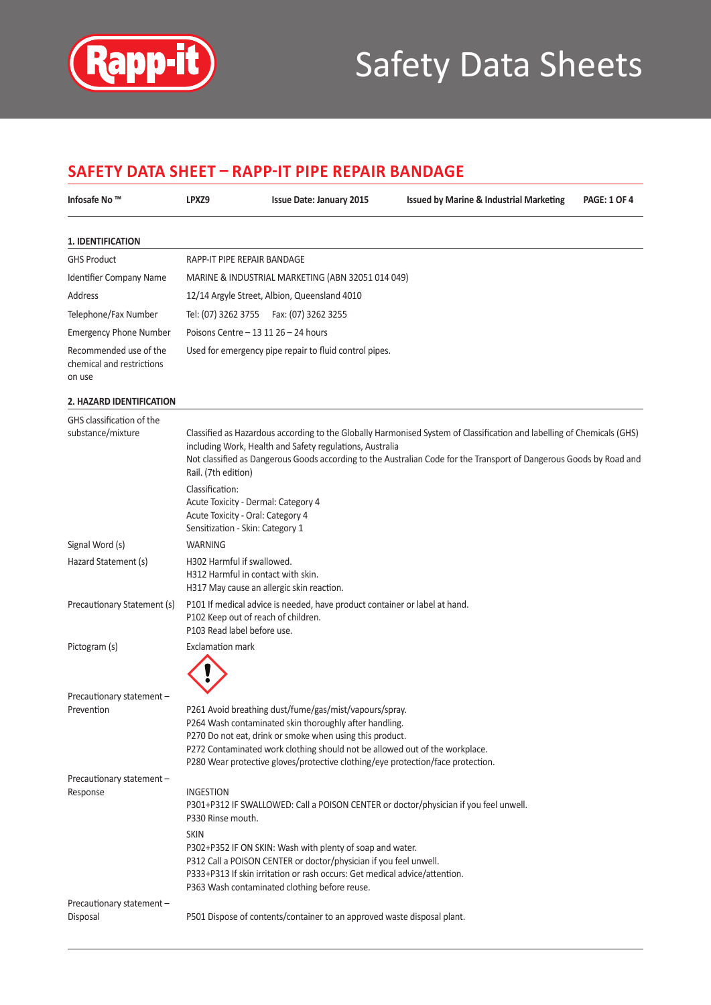

# Safety Data Sheets

### **Safety Data Sheet – RAPP-IT PIPE REPAIR BANDAGE**

| Infosafe No ™                                                 | LPXZ9                                                                                                                                                  | <b>Issue Date: January 2015</b>                                                                                                                                                                                                                                                                                                                       | <b>Issued by Marine &amp; Industrial Marketing</b>                                                                                                                                                                                            | <b>PAGE: 1 OF 4</b> |
|---------------------------------------------------------------|--------------------------------------------------------------------------------------------------------------------------------------------------------|-------------------------------------------------------------------------------------------------------------------------------------------------------------------------------------------------------------------------------------------------------------------------------------------------------------------------------------------------------|-----------------------------------------------------------------------------------------------------------------------------------------------------------------------------------------------------------------------------------------------|---------------------|
| <b>1. IDENTIFICATION</b>                                      |                                                                                                                                                        |                                                                                                                                                                                                                                                                                                                                                       |                                                                                                                                                                                                                                               |                     |
| <b>GHS Product</b>                                            | RAPP-IT PIPE REPAIR BANDAGE                                                                                                                            |                                                                                                                                                                                                                                                                                                                                                       |                                                                                                                                                                                                                                               |                     |
| Identifier Company Name                                       |                                                                                                                                                        | MARINE & INDUSTRIAL MARKETING (ABN 32051 014 049)                                                                                                                                                                                                                                                                                                     |                                                                                                                                                                                                                                               |                     |
| Address                                                       |                                                                                                                                                        | 12/14 Argyle Street, Albion, Queensland 4010                                                                                                                                                                                                                                                                                                          |                                                                                                                                                                                                                                               |                     |
| Telephone/Fax Number                                          | Tel: (07) 3262 3755                                                                                                                                    | Fax: (07) 3262 3255                                                                                                                                                                                                                                                                                                                                   |                                                                                                                                                                                                                                               |                     |
| <b>Emergency Phone Number</b>                                 | Poisons Centre - 13 11 26 - 24 hours                                                                                                                   |                                                                                                                                                                                                                                                                                                                                                       |                                                                                                                                                                                                                                               |                     |
| Recommended use of the<br>chemical and restrictions<br>on use |                                                                                                                                                        | Used for emergency pipe repair to fluid control pipes.                                                                                                                                                                                                                                                                                                |                                                                                                                                                                                                                                               |                     |
| 2. HAZARD IDENTIFICATION                                      |                                                                                                                                                        |                                                                                                                                                                                                                                                                                                                                                       |                                                                                                                                                                                                                                               |                     |
| GHS classification of the<br>substance/mixture                | Rail. (7th edition)<br>Classification:<br>Acute Toxicity - Dermal: Category 4<br>Acute Toxicity - Oral: Category 4<br>Sensitization - Skin: Category 1 | including Work, Health and Safety regulations, Australia                                                                                                                                                                                                                                                                                              | Classified as Hazardous according to the Globally Harmonised System of Classification and labelling of Chemicals (GHS)<br>Not classified as Dangerous Goods according to the Australian Code for the Transport of Dangerous Goods by Road and |                     |
| Signal Word (s)                                               | <b>WARNING</b>                                                                                                                                         |                                                                                                                                                                                                                                                                                                                                                       |                                                                                                                                                                                                                                               |                     |
| Hazard Statement (s)                                          | H302 Harmful if swallowed.<br>H312 Harmful in contact with skin.<br>H317 May cause an allergic skin reaction.                                          |                                                                                                                                                                                                                                                                                                                                                       |                                                                                                                                                                                                                                               |                     |
| Precautionary Statement (s)                                   | P102 Keep out of reach of children.<br>P103 Read label before use.                                                                                     | P101 If medical advice is needed, have product container or label at hand.                                                                                                                                                                                                                                                                            |                                                                                                                                                                                                                                               |                     |
| Pictogram (s)                                                 | <b>Exclamation mark</b>                                                                                                                                |                                                                                                                                                                                                                                                                                                                                                       |                                                                                                                                                                                                                                               |                     |
| Precautionary statement -<br>Prevention                       |                                                                                                                                                        | P261 Avoid breathing dust/fume/gas/mist/vapours/spray.<br>P264 Wash contaminated skin thoroughly after handling.<br>P270 Do not eat, drink or smoke when using this product.<br>P272 Contaminated work clothing should not be allowed out of the workplace.<br>P280 Wear protective gloves/protective clothing/eye protection/face protection.        |                                                                                                                                                                                                                                               |                     |
| Precautionary statement -<br>Response                         | <b>INGESTION</b><br>P330 Rinse mouth.<br><b>SKIN</b>                                                                                                   | P301+P312 IF SWALLOWED: Call a POISON CENTER or doctor/physician if you feel unwell.<br>P302+P352 IF ON SKIN: Wash with plenty of soap and water.<br>P312 Call a POISON CENTER or doctor/physician if you feel unwell.<br>P333+P313 If skin irritation or rash occurs: Get medical advice/attention.<br>P363 Wash contaminated clothing before reuse. |                                                                                                                                                                                                                                               |                     |
| Precautionary statement -<br>Disposal                         |                                                                                                                                                        | P501 Dispose of contents/container to an approved waste disposal plant.                                                                                                                                                                                                                                                                               |                                                                                                                                                                                                                                               |                     |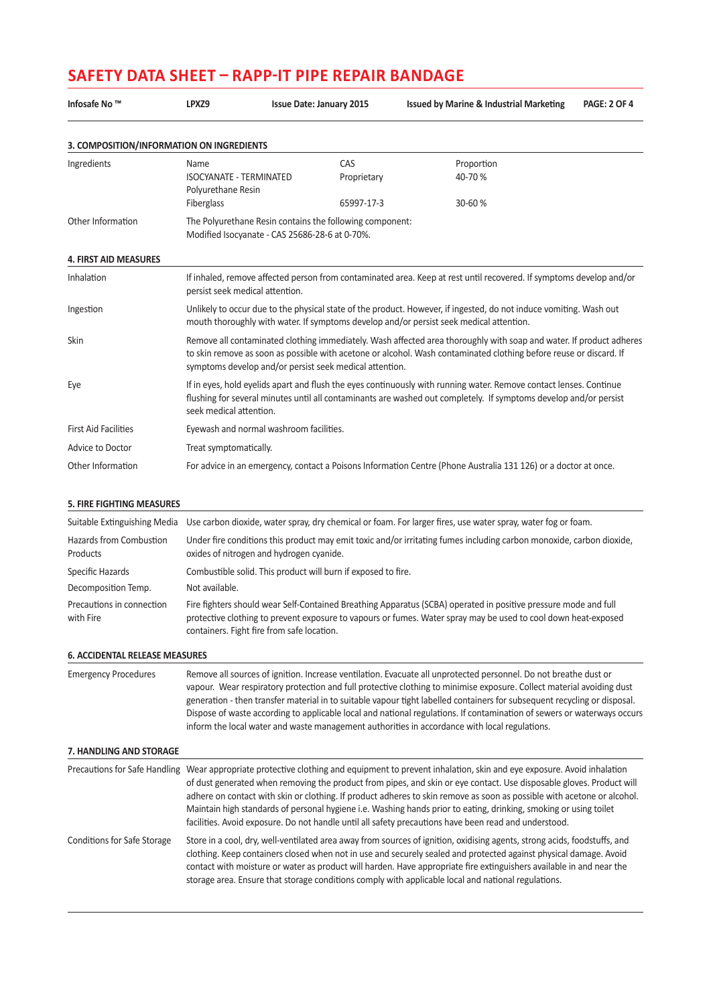# **Safety Data Sheet – RAPP-IT PIPE REPAIR BANDAGE**

| Infosafe No ™                             | LPXZ9                                                               | <b>Issue Date: January 2015</b>                                                                            | <b>Issued by Marine &amp; Industrial Marketing</b>                                                                                                                                                                                                                                                                                                                                                                                                                                                                                                                                                 | <b>PAGE: 2 OF 4</b> |
|-------------------------------------------|---------------------------------------------------------------------|------------------------------------------------------------------------------------------------------------|----------------------------------------------------------------------------------------------------------------------------------------------------------------------------------------------------------------------------------------------------------------------------------------------------------------------------------------------------------------------------------------------------------------------------------------------------------------------------------------------------------------------------------------------------------------------------------------------------|---------------------|
| 3. COMPOSITION/INFORMATION ON INGREDIENTS |                                                                     |                                                                                                            |                                                                                                                                                                                                                                                                                                                                                                                                                                                                                                                                                                                                    |                     |
| Ingredients                               | Name<br>ISOCYANATE - TERMINATED<br>Polyurethane Resin<br>Fiberglass | CAS<br>Proprietary<br>65997-17-3                                                                           | Proportion<br>40-70%<br>30-60%                                                                                                                                                                                                                                                                                                                                                                                                                                                                                                                                                                     |                     |
| Other Information                         |                                                                     | The Polyurethane Resin contains the following component:<br>Modified Isocyanate - CAS 25686-28-6 at 0-70%. |                                                                                                                                                                                                                                                                                                                                                                                                                                                                                                                                                                                                    |                     |
| <b>4. FIRST AID MEASURES</b>              |                                                                     |                                                                                                            |                                                                                                                                                                                                                                                                                                                                                                                                                                                                                                                                                                                                    |                     |
| Inhalation                                | persist seek medical attention.                                     |                                                                                                            | If inhaled, remove affected person from contaminated area. Keep at rest until recovered. If symptoms develop and/or                                                                                                                                                                                                                                                                                                                                                                                                                                                                                |                     |
| Ingestion                                 |                                                                     |                                                                                                            | Unlikely to occur due to the physical state of the product. However, if ingested, do not induce vomiting. Wash out<br>mouth thoroughly with water. If symptoms develop and/or persist seek medical attention.                                                                                                                                                                                                                                                                                                                                                                                      |                     |
| Skin                                      |                                                                     | symptoms develop and/or persist seek medical attention.                                                    | Remove all contaminated clothing immediately. Wash affected area thoroughly with soap and water. If product adheres<br>to skin remove as soon as possible with acetone or alcohol. Wash contaminated clothing before reuse or discard. If                                                                                                                                                                                                                                                                                                                                                          |                     |
| Eye                                       | seek medical attention.                                             |                                                                                                            | If in eyes, hold eyelids apart and flush the eyes continuously with running water. Remove contact lenses. Continue<br>flushing for several minutes until all contaminants are washed out completely. If symptoms develop and/or persist                                                                                                                                                                                                                                                                                                                                                            |                     |
| <b>First Aid Facilities</b>               | Eyewash and normal washroom facilities.                             |                                                                                                            |                                                                                                                                                                                                                                                                                                                                                                                                                                                                                                                                                                                                    |                     |
| Advice to Doctor                          | Treat symptomatically.                                              |                                                                                                            |                                                                                                                                                                                                                                                                                                                                                                                                                                                                                                                                                                                                    |                     |
| Other Information                         |                                                                     |                                                                                                            | For advice in an emergency, contact a Poisons Information Centre (Phone Australia 131 126) or a doctor at once.                                                                                                                                                                                                                                                                                                                                                                                                                                                                                    |                     |
|                                           |                                                                     |                                                                                                            |                                                                                                                                                                                                                                                                                                                                                                                                                                                                                                                                                                                                    |                     |
| <b>5. FIRE FIGHTING MEASURES</b>          |                                                                     |                                                                                                            |                                                                                                                                                                                                                                                                                                                                                                                                                                                                                                                                                                                                    |                     |
| Suitable Extinguishing Media              |                                                                     |                                                                                                            | Use carbon dioxide, water spray, dry chemical or foam. For larger fires, use water spray, water fog or foam.                                                                                                                                                                                                                                                                                                                                                                                                                                                                                       |                     |
| Hazards from Combustion<br>Products       | oxides of nitrogen and hydrogen cyanide.                            |                                                                                                            | Under fire conditions this product may emit toxic and/or irritating fumes including carbon monoxide, carbon dioxide,                                                                                                                                                                                                                                                                                                                                                                                                                                                                               |                     |
| Specific Hazards                          |                                                                     | Combustible solid. This product will burn if exposed to fire.                                              |                                                                                                                                                                                                                                                                                                                                                                                                                                                                                                                                                                                                    |                     |
| Decomposition Temp.                       | Not available.                                                      |                                                                                                            |                                                                                                                                                                                                                                                                                                                                                                                                                                                                                                                                                                                                    |                     |
| Precautions in connection<br>with Fire    | containers. Fight fire from safe location.                          |                                                                                                            | Fire fighters should wear Self-Contained Breathing Apparatus (SCBA) operated in positive pressure mode and full<br>protective clothing to prevent exposure to vapours or fumes. Water spray may be used to cool down heat-exposed                                                                                                                                                                                                                                                                                                                                                                  |                     |
| <b>6. ACCIDENTAL RELEASE MEASURES</b>     |                                                                     |                                                                                                            |                                                                                                                                                                                                                                                                                                                                                                                                                                                                                                                                                                                                    |                     |
| <b>Emergency Procedures</b>               |                                                                     |                                                                                                            | Remove all sources of ignition. Increase ventilation. Evacuate all unprotected personnel. Do not breathe dust or<br>vapour. Wear respiratory protection and full protective clothing to minimise exposure. Collect material avoiding dust<br>generation - then transfer material in to suitable vapour tight labelled containers for subsequent recycling or disposal.<br>Dispose of waste according to applicable local and national regulations. If contamination of sewers or waterways occurs<br>inform the local water and waste management authorities in accordance with local regulations. |                     |
| 7. HANDLING AND STORAGE                   |                                                                     |                                                                                                            |                                                                                                                                                                                                                                                                                                                                                                                                                                                                                                                                                                                                    |                     |
| Precautions for Safe Handling             |                                                                     |                                                                                                            | Wear appropriate protective clothing and equipment to prevent inhalation, skin and eye exposure. Avoid inhalation<br>of dust generated when removing the product from pipes, and skin or eye contact. Use disposable gloves. Product will<br>adhere on contact with skin or clothing. If product adheres to skin remove as soon as possible with acetone or alcohol.<br>Maintain high standards of personal hygiene i.e. Washing hands prior to eating, drinking, smoking or using toilet<br>facilities. Avoid exposure. Do not handle until all safety precautions have been read and understood. |                     |
| Conditions for Safe Storage               |                                                                     |                                                                                                            | Store in a cool, dry, well-ventilated area away from sources of ignition, oxidising agents, strong acids, foodstuffs, and<br>clothing. Keep containers closed when not in use and securely sealed and protected against physical damage. Avoid<br>contact with moisture or water as product will harden. Have appropriate fire extinguishers available in and near the<br>storage area. Ensure that storage conditions comply with applicable local and national regulations.                                                                                                                      |                     |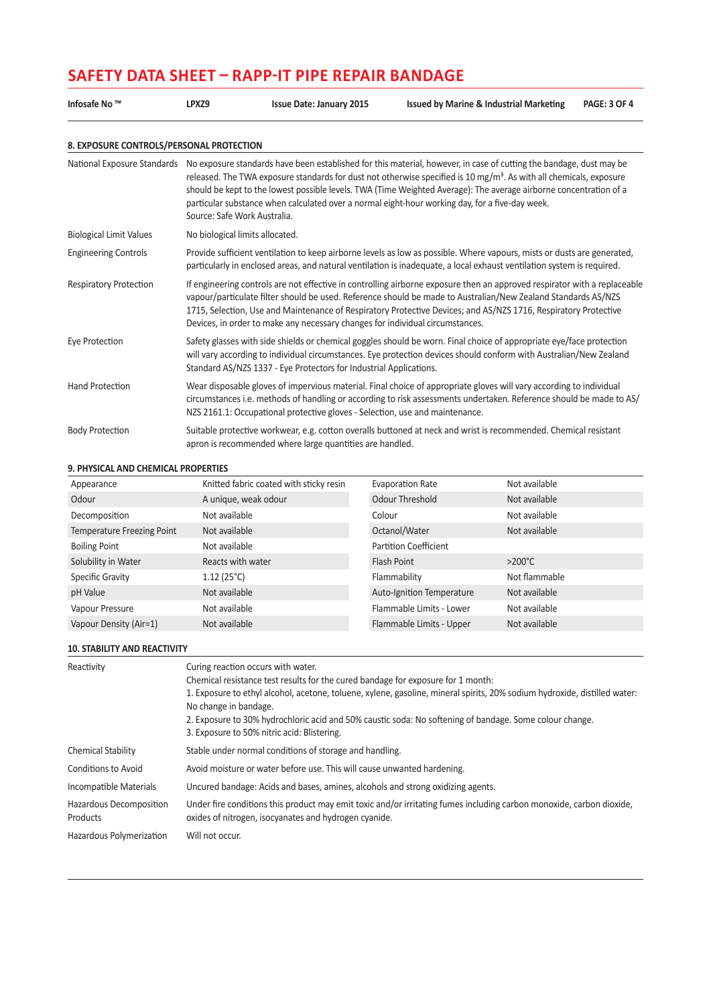## **Safety Data Sheet – RAPP-IT PIPE REPAIR BANDAGE**

| Infosafe No ™                            | LPXZ9                           | <b>Issue Date: January 2015</b>                                                                                                                                                                                                                                                                                                                                                                                                                                                                                 | <b>Issued by Marine &amp; Industrial Marketing</b>                                                                                                                                                                                         | <b>PAGE: 3 OF 4</b> |  |  |  |
|------------------------------------------|---------------------------------|-----------------------------------------------------------------------------------------------------------------------------------------------------------------------------------------------------------------------------------------------------------------------------------------------------------------------------------------------------------------------------------------------------------------------------------------------------------------------------------------------------------------|--------------------------------------------------------------------------------------------------------------------------------------------------------------------------------------------------------------------------------------------|---------------------|--|--|--|
| 8. EXPOSURE CONTROLS/PERSONAL PROTECTION |                                 |                                                                                                                                                                                                                                                                                                                                                                                                                                                                                                                 |                                                                                                                                                                                                                                            |                     |  |  |  |
| National Exposure Standards              |                                 | No exposure standards have been established for this material, however, in case of cutting the bandage, dust may be<br>released. The TWA exposure standards for dust not otherwise specified is 10 mg/m <sup>3</sup> . As with all chemicals, exposure<br>should be kept to the lowest possible levels. TWA (Time Weighted Average): The average airborne concentration of a<br>particular substance when calculated over a normal eight-hour working day, for a five-day week.<br>Source: Safe Work Australia. |                                                                                                                                                                                                                                            |                     |  |  |  |
| <b>Biological Limit Values</b>           | No biological limits allocated. |                                                                                                                                                                                                                                                                                                                                                                                                                                                                                                                 |                                                                                                                                                                                                                                            |                     |  |  |  |
| <b>Engineering Controls</b>              |                                 | Provide sufficient ventilation to keep airborne levels as low as possible. Where vapours, mists or dusts are generated,<br>particularly in enclosed areas, and natural ventilation is inadequate, a local exhaust ventilation system is required.                                                                                                                                                                                                                                                               |                                                                                                                                                                                                                                            |                     |  |  |  |
| <b>Respiratory Protection</b>            |                                 | If engineering controls are not effective in controlling airborne exposure then an approved respirator with a replaceable<br>vapour/particulate filter should be used. Reference should be made to Australian/New Zealand Standards AS/NZS<br>1715, Selection, Use and Maintenance of Respiratory Protective Devices; and AS/NZS 1716, Respiratory Protective<br>Devices, in order to make any necessary changes for individual circumstances.                                                                  |                                                                                                                                                                                                                                            |                     |  |  |  |
| Eye Protection                           |                                 | Standard AS/NZS 1337 - Eye Protectors for Industrial Applications.                                                                                                                                                                                                                                                                                                                                                                                                                                              | Safety glasses with side shields or chemical goggles should be worn. Final choice of appropriate eye/face protection<br>will vary according to individual circumstances. Eye protection devices should conform with Australian/New Zealand |                     |  |  |  |
| <b>Hand Protection</b>                   |                                 | NZS 2161.1: Occupational protective gloves - Selection, use and maintenance.                                                                                                                                                                                                                                                                                                                                                                                                                                    | Wear disposable gloves of impervious material. Final choice of appropriate gloves will vary according to individual<br>circumstances i.e. methods of handling or according to risk assessments undertaken. Reference should be made to AS/ |                     |  |  |  |
| <b>Body Protection</b>                   |                                 | apron is recommended where large quantities are handled.                                                                                                                                                                                                                                                                                                                                                                                                                                                        | Suitable protective workwear, e.g. cotton overalls buttoned at neck and wrist is recommended. Chemical resistant                                                                                                                           |                     |  |  |  |

#### **9. PHYSICAL AND CHEMICAL PROPERTIES**

| Appearance                        | Knitted fabric coated with sticky resin | Evaporation Rate             | Not available    |
|-----------------------------------|-----------------------------------------|------------------------------|------------------|
| Odour                             | A unique, weak odour                    | Odour Threshold              | Not available    |
| Decomposition                     | Not available                           | Colour                       | Not available    |
| <b>Temperature Freezing Point</b> | Not available                           | Octanol/Water                | Not available    |
| <b>Boiling Point</b>              | Not available                           | <b>Partition Coefficient</b> |                  |
| Solubility in Water               | Reacts with water                       | Flash Point                  | $>200^{\circ}$ C |
| Specific Gravity                  | 1.12(25°C)                              | Flammability                 | Not flammable    |
| pH Value                          | Not available                           | Auto-Ignition Temperature    | Not available    |
| Vapour Pressure                   | Not available                           | Flammable Limits - Lower     | Not available    |
| Vapour Density (Air=1)            | Not available                           | Flammable Limits - Upper     | Not available    |

#### **10. STABILITY AND REACTIVITY**

| Reactivity                          | Curing reaction occurs with water.<br>Chemical resistance test results for the cured bandage for exposure for 1 month:<br>1. Exposure to ethyl alcohol, acetone, toluene, xylene, gasoline, mineral spirits, 20% sodium hydroxide, distilled water:<br>No change in bandage.<br>2. Exposure to 30% hydrochloric acid and 50% caustic soda: No softening of bandage. Some colour change.<br>3. Exposure to 50% nitric acid: Blistering. |
|-------------------------------------|----------------------------------------------------------------------------------------------------------------------------------------------------------------------------------------------------------------------------------------------------------------------------------------------------------------------------------------------------------------------------------------------------------------------------------------|
| <b>Chemical Stability</b>           | Stable under normal conditions of storage and handling.                                                                                                                                                                                                                                                                                                                                                                                |
| Conditions to Avoid                 | Avoid moisture or water before use. This will cause unwanted hardening.                                                                                                                                                                                                                                                                                                                                                                |
| Incompatible Materials              | Uncured bandage: Acids and bases, amines, alcohols and strong oxidizing agents.                                                                                                                                                                                                                                                                                                                                                        |
| Hazardous Decomposition<br>Products | Under fire conditions this product may emit toxic and/or irritating fumes including carbon monoxide, carbon dioxide,<br>oxides of nitrogen, isocyanates and hydrogen cyanide.                                                                                                                                                                                                                                                          |
| Hazardous Polymerization            | Will not occur.                                                                                                                                                                                                                                                                                                                                                                                                                        |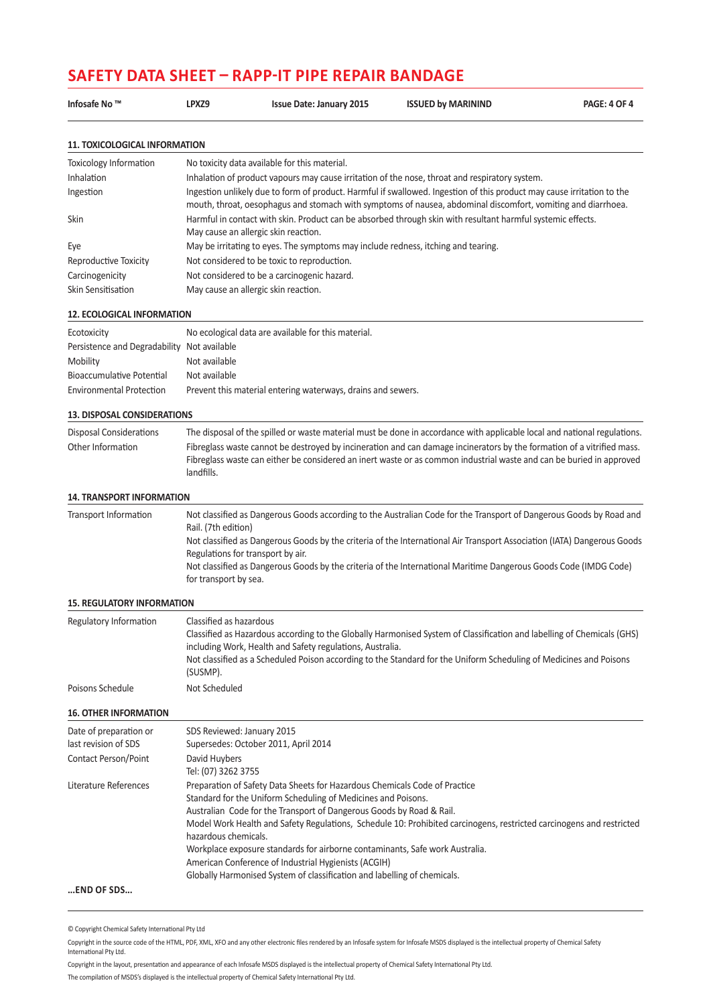### **Safety Data Sheet – RAPP-IT PIPE REPAIR BANDAGE**

| Infosafe No ™                               | LPXZ9                                | <b>Issue Date: January 2015</b>                                                   | <b>ISSUED by MARININD</b>                                                                                                                                                                                                                      | <b>PAGE: 4 OF 4</b> |
|---------------------------------------------|--------------------------------------|-----------------------------------------------------------------------------------|------------------------------------------------------------------------------------------------------------------------------------------------------------------------------------------------------------------------------------------------|---------------------|
| <b>11. TOXICOLOGICAL INFORMATION</b>        |                                      |                                                                                   |                                                                                                                                                                                                                                                |                     |
| <b>Toxicology Information</b>               |                                      | No toxicity data available for this material.                                     |                                                                                                                                                                                                                                                |                     |
| Inhalation                                  |                                      |                                                                                   | Inhalation of product vapours may cause irritation of the nose, throat and respiratory system.                                                                                                                                                 |                     |
| Ingestion                                   |                                      |                                                                                   | Ingestion unlikely due to form of product. Harmful if swallowed. Ingestion of this product may cause irritation to the<br>mouth, throat, oesophagus and stomach with symptoms of nausea, abdominal discomfort, vomiting and diarrhoea.         |                     |
| Skin                                        |                                      | May cause an allergic skin reaction.                                              | Harmful in contact with skin. Product can be absorbed through skin with resultant harmful systemic effects.                                                                                                                                    |                     |
| Eye                                         |                                      | May be irritating to eyes. The symptoms may include redness, itching and tearing. |                                                                                                                                                                                                                                                |                     |
| Reproductive Toxicity                       |                                      | Not considered to be toxic to reproduction.                                       |                                                                                                                                                                                                                                                |                     |
| Carcinogenicity                             |                                      | Not considered to be a carcinogenic hazard.                                       |                                                                                                                                                                                                                                                |                     |
| Skin Sensitisation                          |                                      | May cause an allergic skin reaction.                                              |                                                                                                                                                                                                                                                |                     |
| <b>12. ECOLOGICAL INFORMATION</b>           |                                      |                                                                                   |                                                                                                                                                                                                                                                |                     |
| Ecotoxicity                                 |                                      | No ecological data are available for this material.                               |                                                                                                                                                                                                                                                |                     |
| Persistence and Degradability Not available |                                      |                                                                                   |                                                                                                                                                                                                                                                |                     |
| Mobility                                    | Not available                        |                                                                                   |                                                                                                                                                                                                                                                |                     |
| <b>Bioaccumulative Potential</b>            | Not available                        |                                                                                   |                                                                                                                                                                                                                                                |                     |
| <b>Environmental Protection</b>             |                                      | Prevent this material entering waterways, drains and sewers.                      |                                                                                                                                                                                                                                                |                     |
| <b>13. DISPOSAL CONSIDERATIONS</b>          |                                      |                                                                                   |                                                                                                                                                                                                                                                |                     |
| <b>Disposal Considerations</b>              |                                      |                                                                                   | The disposal of the spilled or waste material must be done in accordance with applicable local and national regulations.                                                                                                                       |                     |
| Other Information                           | landfills.                           |                                                                                   | Fibreglass waste cannot be destroyed by incineration and can damage incinerators by the formation of a vitrified mass.<br>Fibreglass waste can either be considered an inert waste or as common industrial waste and can be buried in approved |                     |
| <b>14. TRANSPORT INFORMATION</b>            |                                      |                                                                                   |                                                                                                                                                                                                                                                |                     |
| Transport Information                       | Rail. (7th edition)                  |                                                                                   | Not classified as Dangerous Goods according to the Australian Code for the Transport of Dangerous Goods by Road and                                                                                                                            |                     |
|                                             | Regulations for transport by air.    |                                                                                   | Not classified as Dangerous Goods by the criteria of the International Air Transport Association (IATA) Dangerous Goods                                                                                                                        |                     |
|                                             | for transport by sea.                |                                                                                   | Not classified as Dangerous Goods by the criteria of the International Maritime Dangerous Goods Code (IMDG Code)                                                                                                                               |                     |
| <b>15. REGULATORY INFORMATION</b>           |                                      |                                                                                   |                                                                                                                                                                                                                                                |                     |
| Regulatory Information                      | Classified as hazardous              |                                                                                   |                                                                                                                                                                                                                                                |                     |
|                                             |                                      |                                                                                   | Classified as Hazardous according to the Globally Harmonised System of Classification and labelling of Chemicals (GHS)                                                                                                                         |                     |
|                                             | (SUSMP).                             | including Work, Health and Safety regulations, Australia.                         | Not classified as a Scheduled Poison according to the Standard for the Uniform Scheduling of Medicines and Poisons                                                                                                                             |                     |
| Poisons Schedule                            | Not Scheduled                        |                                                                                   |                                                                                                                                                                                                                                                |                     |
| <b>16. OTHER INFORMATION</b>                |                                      |                                                                                   |                                                                                                                                                                                                                                                |                     |
| Date of preparation or                      | SDS Reviewed: January 2015           |                                                                                   |                                                                                                                                                                                                                                                |                     |
| last revision of SDS                        |                                      | Supersedes: October 2011, April 2014                                              |                                                                                                                                                                                                                                                |                     |
| Contact Person/Point                        | David Huybers<br>Tel: (07) 3262 3755 |                                                                                   |                                                                                                                                                                                                                                                |                     |
| Literature References                       |                                      | Preparation of Safety Data Sheets for Hazardous Chemicals Code of Practice        |                                                                                                                                                                                                                                                |                     |
|                                             |                                      | Standard for the Uniform Scheduling of Medicines and Poisons.                     |                                                                                                                                                                                                                                                |                     |
|                                             |                                      | Australian Code for the Transport of Dangerous Goods by Road & Rail.              |                                                                                                                                                                                                                                                |                     |
|                                             | hazardous chemicals.                 |                                                                                   | Model Work Health and Safety Regulations, Schedule 10: Prohibited carcinogens, restricted carcinogens and restricted                                                                                                                           |                     |
|                                             |                                      | Workplace exposure standards for airborne contaminants, Safe work Australia.      |                                                                                                                                                                                                                                                |                     |
|                                             |                                      | American Conference of Industrial Hygienists (ACGIH)                              |                                                                                                                                                                                                                                                |                     |
|                                             |                                      | Globally Harmonised System of classification and labelling of chemicals.          |                                                                                                                                                                                                                                                |                     |
| END OF SDS                                  |                                      |                                                                                   |                                                                                                                                                                                                                                                |                     |

© Copyright Chemical Safety International Pty Ltd

Copyright in the source code of the HTML, PDF, XML, XFO and any other electronic files rendered by an Infosafe system for Infosafe MSDS displayed is the intellectual property of Chemical Safety International Pty Ltd.

Copyright in the layout, presentation and appearance of each Infosafe MSDS displayed is the intellectual property of Chemical Safety International Pty Ltd. The compilation of MSDS's displayed is the intellectual property of Chemical Safety International Pty Ltd.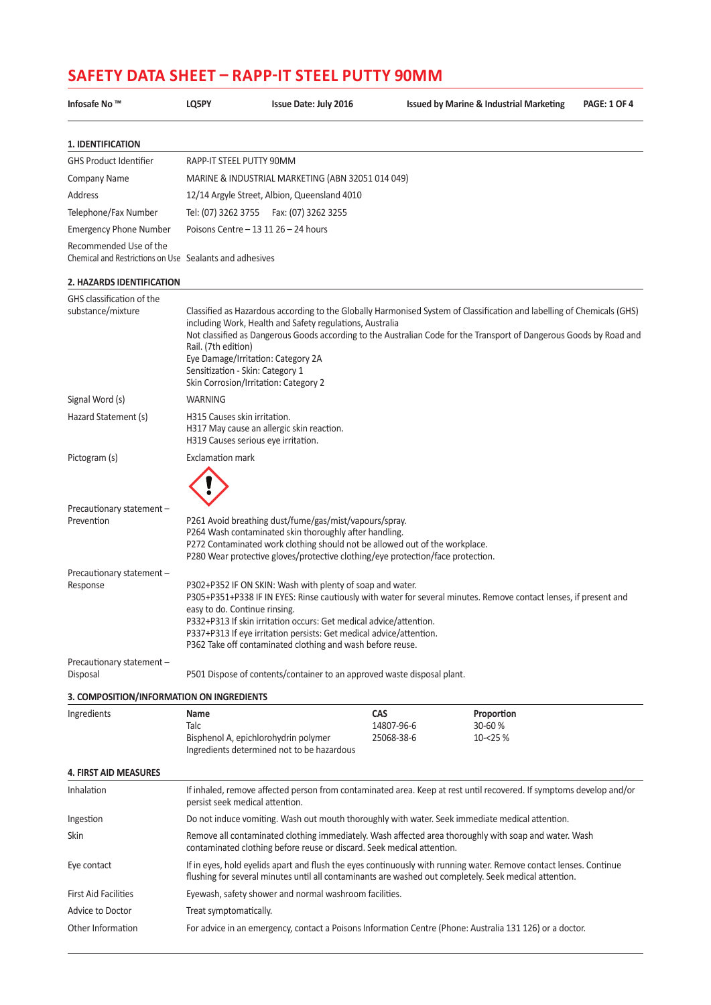| Infosafe No ™                                                                     | LQ5PY                                                                                                                                  | <b>Issue Date: July 2016</b>                                                                                                                                                                                                                                                       |                                        |  | <b>Issued by Marine &amp; Industrial Marketing</b>                                                                                                                                                                                            | <b>PAGE: 1 OF 4</b> |  |  |
|-----------------------------------------------------------------------------------|----------------------------------------------------------------------------------------------------------------------------------------|------------------------------------------------------------------------------------------------------------------------------------------------------------------------------------------------------------------------------------------------------------------------------------|----------------------------------------|--|-----------------------------------------------------------------------------------------------------------------------------------------------------------------------------------------------------------------------------------------------|---------------------|--|--|
| 1. IDENTIFICATION                                                                 |                                                                                                                                        |                                                                                                                                                                                                                                                                                    |                                        |  |                                                                                                                                                                                                                                               |                     |  |  |
| <b>GHS Product Identifier</b>                                                     | RAPP-IT STEEL PUTTY 90MM                                                                                                               |                                                                                                                                                                                                                                                                                    |                                        |  |                                                                                                                                                                                                                                               |                     |  |  |
| <b>Company Name</b>                                                               | MARINE & INDUSTRIAL MARKETING (ABN 32051 014 049)                                                                                      |                                                                                                                                                                                                                                                                                    |                                        |  |                                                                                                                                                                                                                                               |                     |  |  |
| Address                                                                           |                                                                                                                                        | 12/14 Argyle Street, Albion, Queensland 4010                                                                                                                                                                                                                                       |                                        |  |                                                                                                                                                                                                                                               |                     |  |  |
| Telephone/Fax Number                                                              | Tel: (07) 3262 3755                                                                                                                    | Fax: (07) 3262 3255                                                                                                                                                                                                                                                                |                                        |  |                                                                                                                                                                                                                                               |                     |  |  |
| <b>Emergency Phone Number</b>                                                     |                                                                                                                                        | Poisons Centre - 13 11 26 - 24 hours                                                                                                                                                                                                                                               |                                        |  |                                                                                                                                                                                                                                               |                     |  |  |
| Recommended Use of the<br>Chemical and Restrictions on Use Sealants and adhesives |                                                                                                                                        |                                                                                                                                                                                                                                                                                    |                                        |  |                                                                                                                                                                                                                                               |                     |  |  |
| 2. HAZARDS IDENTIFICATION                                                         |                                                                                                                                        |                                                                                                                                                                                                                                                                                    |                                        |  |                                                                                                                                                                                                                                               |                     |  |  |
| GHS classification of the<br>substance/mixture                                    | Rail. (7th edition)<br>Eye Damage/Irritation: Category 2A<br>Sensitization - Skin: Category 1<br>Skin Corrosion/Irritation: Category 2 | including Work, Health and Safety regulations, Australia                                                                                                                                                                                                                           |                                        |  | Classified as Hazardous according to the Globally Harmonised System of Classification and labelling of Chemicals (GHS)<br>Not classified as Dangerous Goods according to the Australian Code for the Transport of Dangerous Goods by Road and |                     |  |  |
| Signal Word (s)                                                                   | <b>WARNING</b>                                                                                                                         |                                                                                                                                                                                                                                                                                    |                                        |  |                                                                                                                                                                                                                                               |                     |  |  |
| Hazard Statement (s)                                                              | H315 Causes skin irritation.<br>H317 May cause an allergic skin reaction.<br>H319 Causes serious eye irritation.                       |                                                                                                                                                                                                                                                                                    |                                        |  |                                                                                                                                                                                                                                               |                     |  |  |
| Pictogram (s)                                                                     | <b>Exclamation mark</b>                                                                                                                |                                                                                                                                                                                                                                                                                    |                                        |  |                                                                                                                                                                                                                                               |                     |  |  |
|                                                                                   |                                                                                                                                        |                                                                                                                                                                                                                                                                                    |                                        |  |                                                                                                                                                                                                                                               |                     |  |  |
| Precautionary statement -<br>Prevention                                           |                                                                                                                                        | P261 Avoid breathing dust/fume/gas/mist/vapours/spray.<br>P264 Wash contaminated skin thoroughly after handling.<br>P272 Contaminated work clothing should not be allowed out of the workplace.<br>P280 Wear protective gloves/protective clothing/eye protection/face protection. |                                        |  |                                                                                                                                                                                                                                               |                     |  |  |
| Precautionary statement -<br>Response                                             | easy to do. Continue rinsing.                                                                                                          | P302+P352 IF ON SKIN: Wash with plenty of soap and water.<br>P332+P313 If skin irritation occurs: Get medical advice/attention.<br>P337+P313 If eye irritation persists: Get medical advice/attention.<br>P362 Take off contaminated clothing and wash before reuse.               |                                        |  | P305+P351+P338 IF IN EYES: Rinse cautiously with water for several minutes. Remove contact lenses, if present and                                                                                                                             |                     |  |  |
| Precautionary statement -<br>Disposal                                             |                                                                                                                                        | P501 Dispose of contents/container to an approved waste disposal plant.                                                                                                                                                                                                            |                                        |  |                                                                                                                                                                                                                                               |                     |  |  |
| 3. COMPOSITION/INFORMATION ON INGREDIENTS                                         |                                                                                                                                        |                                                                                                                                                                                                                                                                                    |                                        |  |                                                                                                                                                                                                                                               |                     |  |  |
| Ingredients                                                                       | Name<br>Talc<br>Bisphenol A, epichlorohydrin polymer<br>Ingredients determined not to be hazardous                                     |                                                                                                                                                                                                                                                                                    | <b>CAS</b><br>14807-96-6<br>25068-38-6 |  | Proportion<br>30-60 %<br>10-<25 %                                                                                                                                                                                                             |                     |  |  |
| <b>4. FIRST AID MEASURES</b>                                                      |                                                                                                                                        |                                                                                                                                                                                                                                                                                    |                                        |  |                                                                                                                                                                                                                                               |                     |  |  |
| Inhalation                                                                        | persist seek medical attention.                                                                                                        |                                                                                                                                                                                                                                                                                    |                                        |  | If inhaled, remove affected person from contaminated area. Keep at rest until recovered. If symptoms develop and/or                                                                                                                           |                     |  |  |
| Ingestion                                                                         |                                                                                                                                        |                                                                                                                                                                                                                                                                                    |                                        |  | Do not induce vomiting. Wash out mouth thoroughly with water. Seek immediate medical attention.                                                                                                                                               |                     |  |  |
| Skin                                                                              |                                                                                                                                        | contaminated clothing before reuse or discard. Seek medical attention.                                                                                                                                                                                                             |                                        |  | Remove all contaminated clothing immediately. Wash affected area thoroughly with soap and water. Wash                                                                                                                                         |                     |  |  |
| Eye contact                                                                       |                                                                                                                                        |                                                                                                                                                                                                                                                                                    |                                        |  | If in eyes, hold eyelids apart and flush the eyes continuously with running water. Remove contact lenses. Continue<br>flushing for several minutes until all contaminants are washed out completely. Seek medical attention.                  |                     |  |  |
| <b>First Aid Facilities</b>                                                       | Eyewash, safety shower and normal washroom facilities.                                                                                 |                                                                                                                                                                                                                                                                                    |                                        |  |                                                                                                                                                                                                                                               |                     |  |  |
| Advice to Doctor                                                                  | Treat symptomatically.                                                                                                                 |                                                                                                                                                                                                                                                                                    |                                        |  |                                                                                                                                                                                                                                               |                     |  |  |
| Other Information                                                                 |                                                                                                                                        |                                                                                                                                                                                                                                                                                    |                                        |  | For advice in an emergency, contact a Poisons Information Centre (Phone: Australia 131 126) or a doctor.                                                                                                                                      |                     |  |  |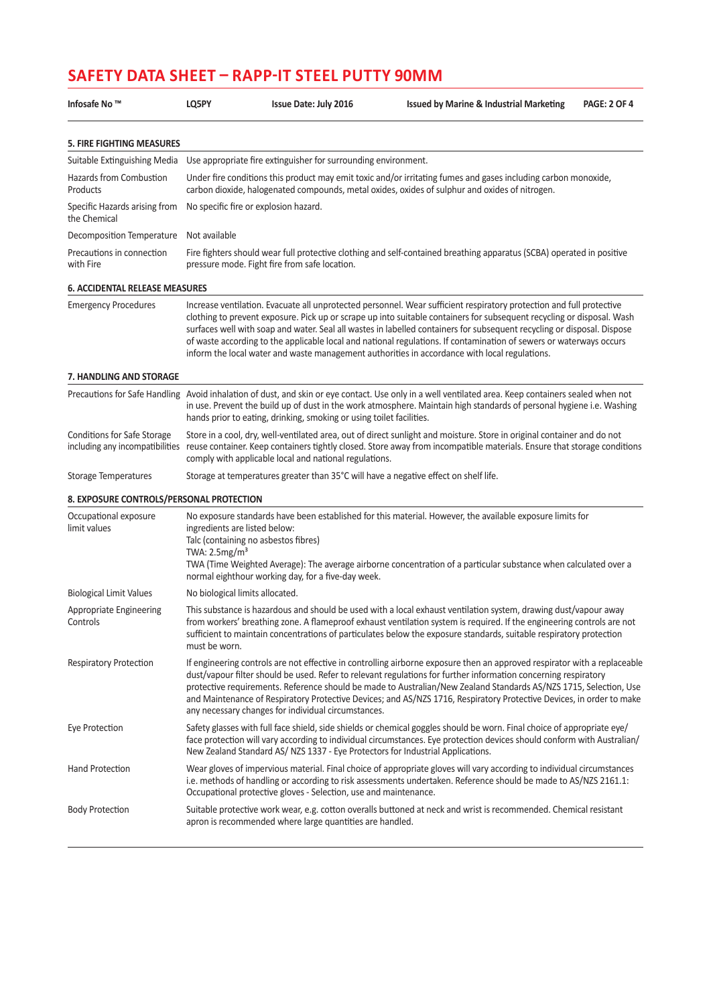| Infosafe No ™                                                  | LQ5PY                                                                                                                                                                                                                                                                                                                                                                                                                                                                                                                                            | Issue Date: July 2016                                                                                                                                                                                                                                                                                                   | <b>Issued by Marine &amp; Industrial Marketing</b>                                                                                                                                                                                                                                                                                                                                                                                                                                                                                                                                                | <b>PAGE: 2 OF 4</b> |  |  |  |  |
|----------------------------------------------------------------|--------------------------------------------------------------------------------------------------------------------------------------------------------------------------------------------------------------------------------------------------------------------------------------------------------------------------------------------------------------------------------------------------------------------------------------------------------------------------------------------------------------------------------------------------|-------------------------------------------------------------------------------------------------------------------------------------------------------------------------------------------------------------------------------------------------------------------------------------------------------------------------|---------------------------------------------------------------------------------------------------------------------------------------------------------------------------------------------------------------------------------------------------------------------------------------------------------------------------------------------------------------------------------------------------------------------------------------------------------------------------------------------------------------------------------------------------------------------------------------------------|---------------------|--|--|--|--|
| <b>5. FIRE FIGHTING MEASURES</b>                               |                                                                                                                                                                                                                                                                                                                                                                                                                                                                                                                                                  |                                                                                                                                                                                                                                                                                                                         |                                                                                                                                                                                                                                                                                                                                                                                                                                                                                                                                                                                                   |                     |  |  |  |  |
| Suitable Extinguishing Media                                   |                                                                                                                                                                                                                                                                                                                                                                                                                                                                                                                                                  | Use appropriate fire extinguisher for surrounding environment.                                                                                                                                                                                                                                                          |                                                                                                                                                                                                                                                                                                                                                                                                                                                                                                                                                                                                   |                     |  |  |  |  |
| Hazards from Combustion<br>Products                            |                                                                                                                                                                                                                                                                                                                                                                                                                                                                                                                                                  | Under fire conditions this product may emit toxic and/or irritating fumes and gases including carbon monoxide,<br>carbon dioxide, halogenated compounds, metal oxides, oxides of sulphur and oxides of nitrogen.                                                                                                        |                                                                                                                                                                                                                                                                                                                                                                                                                                                                                                                                                                                                   |                     |  |  |  |  |
| Specific Hazards arising from<br>the Chemical                  |                                                                                                                                                                                                                                                                                                                                                                                                                                                                                                                                                  | No specific fire or explosion hazard.                                                                                                                                                                                                                                                                                   |                                                                                                                                                                                                                                                                                                                                                                                                                                                                                                                                                                                                   |                     |  |  |  |  |
| Decomposition Temperature                                      | Not available                                                                                                                                                                                                                                                                                                                                                                                                                                                                                                                                    |                                                                                                                                                                                                                                                                                                                         |                                                                                                                                                                                                                                                                                                                                                                                                                                                                                                                                                                                                   |                     |  |  |  |  |
| Precautions in connection<br>with Fire                         | Fire fighters should wear full protective clothing and self-contained breathing apparatus (SCBA) operated in positive<br>pressure mode. Fight fire from safe location.                                                                                                                                                                                                                                                                                                                                                                           |                                                                                                                                                                                                                                                                                                                         |                                                                                                                                                                                                                                                                                                                                                                                                                                                                                                                                                                                                   |                     |  |  |  |  |
| <b>6. ACCIDENTAL RELEASE MEASURES</b>                          |                                                                                                                                                                                                                                                                                                                                                                                                                                                                                                                                                  |                                                                                                                                                                                                                                                                                                                         |                                                                                                                                                                                                                                                                                                                                                                                                                                                                                                                                                                                                   |                     |  |  |  |  |
| <b>Emergency Procedures</b>                                    |                                                                                                                                                                                                                                                                                                                                                                                                                                                                                                                                                  |                                                                                                                                                                                                                                                                                                                         | Increase ventilation. Evacuate all unprotected personnel. Wear sufficient respiratory protection and full protective<br>clothing to prevent exposure. Pick up or scrape up into suitable containers for subsequent recycling or disposal. Wash<br>surfaces well with soap and water. Seal all wastes in labelled containers for subsequent recycling or disposal. Dispose<br>of waste according to the applicable local and national regulations. If contamination of sewers or waterways occurs<br>inform the local water and waste management authorities in accordance with local regulations. |                     |  |  |  |  |
| 7. HANDLING AND STORAGE                                        |                                                                                                                                                                                                                                                                                                                                                                                                                                                                                                                                                  |                                                                                                                                                                                                                                                                                                                         |                                                                                                                                                                                                                                                                                                                                                                                                                                                                                                                                                                                                   |                     |  |  |  |  |
| Precautions for Safe Handling                                  |                                                                                                                                                                                                                                                                                                                                                                                                                                                                                                                                                  | Avoid inhalation of dust, and skin or eye contact. Use only in a well ventilated area. Keep containers sealed when not<br>in use. Prevent the build up of dust in the work atmosphere. Maintain high standards of personal hygiene i.e. Washing<br>hands prior to eating, drinking, smoking or using toilet facilities. |                                                                                                                                                                                                                                                                                                                                                                                                                                                                                                                                                                                                   |                     |  |  |  |  |
| Conditions for Safe Storage<br>including any incompatibilities | Store in a cool, dry, well-ventilated area, out of direct sunlight and moisture. Store in original container and do not<br>reuse container. Keep containers tightly closed. Store away from incompatible materials. Ensure that storage conditions<br>comply with applicable local and national regulations.                                                                                                                                                                                                                                     |                                                                                                                                                                                                                                                                                                                         |                                                                                                                                                                                                                                                                                                                                                                                                                                                                                                                                                                                                   |                     |  |  |  |  |
| <b>Storage Temperatures</b>                                    |                                                                                                                                                                                                                                                                                                                                                                                                                                                                                                                                                  | Storage at temperatures greater than 35°C will have a negative effect on shelf life.                                                                                                                                                                                                                                    |                                                                                                                                                                                                                                                                                                                                                                                                                                                                                                                                                                                                   |                     |  |  |  |  |
| 8. EXPOSURE CONTROLS/PERSONAL PROTECTION                       |                                                                                                                                                                                                                                                                                                                                                                                                                                                                                                                                                  |                                                                                                                                                                                                                                                                                                                         |                                                                                                                                                                                                                                                                                                                                                                                                                                                                                                                                                                                                   |                     |  |  |  |  |
| Occupational exposure<br>limit values                          | ingredients are listed below:<br>TWA: 2.5mg/m <sup>3</sup>                                                                                                                                                                                                                                                                                                                                                                                                                                                                                       | Talc (containing no asbestos fibres)<br>normal eighthour working day, for a five-day week.                                                                                                                                                                                                                              | No exposure standards have been established for this material. However, the available exposure limits for<br>TWA (Time Weighted Average): The average airborne concentration of a particular substance when calculated over a                                                                                                                                                                                                                                                                                                                                                                     |                     |  |  |  |  |
| <b>Biological Limit Values</b>                                 | No biological limits allocated.                                                                                                                                                                                                                                                                                                                                                                                                                                                                                                                  |                                                                                                                                                                                                                                                                                                                         |                                                                                                                                                                                                                                                                                                                                                                                                                                                                                                                                                                                                   |                     |  |  |  |  |
| Appropriate Engineering<br>Controls                            | This substance is hazardous and should be used with a local exhaust ventilation system, drawing dust/vapour away<br>from workers' breathing zone. A flameproof exhaust ventilation system is required. If the engineering controls are not<br>sufficient to maintain concentrations of particulates below the exposure standards, suitable respiratory protection<br>must be worn.                                                                                                                                                               |                                                                                                                                                                                                                                                                                                                         |                                                                                                                                                                                                                                                                                                                                                                                                                                                                                                                                                                                                   |                     |  |  |  |  |
| <b>Respiratory Protection</b>                                  | If engineering controls are not effective in controlling airborne exposure then an approved respirator with a replaceable<br>dust/vapour filter should be used. Refer to relevant regulations for further information concerning respiratory<br>protective requirements. Reference should be made to Australian/New Zealand Standards AS/NZS 1715, Selection, Use<br>and Maintenance of Respiratory Protective Devices; and AS/NZS 1716, Respiratory Protective Devices, in order to make<br>any necessary changes for individual circumstances. |                                                                                                                                                                                                                                                                                                                         |                                                                                                                                                                                                                                                                                                                                                                                                                                                                                                                                                                                                   |                     |  |  |  |  |
| Eye Protection                                                 |                                                                                                                                                                                                                                                                                                                                                                                                                                                                                                                                                  | New Zealand Standard AS/NZS 1337 - Eye Protectors for Industrial Applications.                                                                                                                                                                                                                                          | Safety glasses with full face shield, side shields or chemical goggles should be worn. Final choice of appropriate eye/<br>face protection will vary according to individual circumstances. Eye protection devices should conform with Australian/                                                                                                                                                                                                                                                                                                                                                |                     |  |  |  |  |
| <b>Hand Protection</b>                                         | Wear gloves of impervious material. Final choice of appropriate gloves will vary according to individual circumstances<br>i.e. methods of handling or according to risk assessments undertaken. Reference should be made to AS/NZS 2161.1:<br>Occupational protective gloves - Selection, use and maintenance.                                                                                                                                                                                                                                   |                                                                                                                                                                                                                                                                                                                         |                                                                                                                                                                                                                                                                                                                                                                                                                                                                                                                                                                                                   |                     |  |  |  |  |
| <b>Body Protection</b>                                         |                                                                                                                                                                                                                                                                                                                                                                                                                                                                                                                                                  | apron is recommended where large quantities are handled.                                                                                                                                                                                                                                                                | Suitable protective work wear, e.g. cotton overalls buttoned at neck and wrist is recommended. Chemical resistant                                                                                                                                                                                                                                                                                                                                                                                                                                                                                 |                     |  |  |  |  |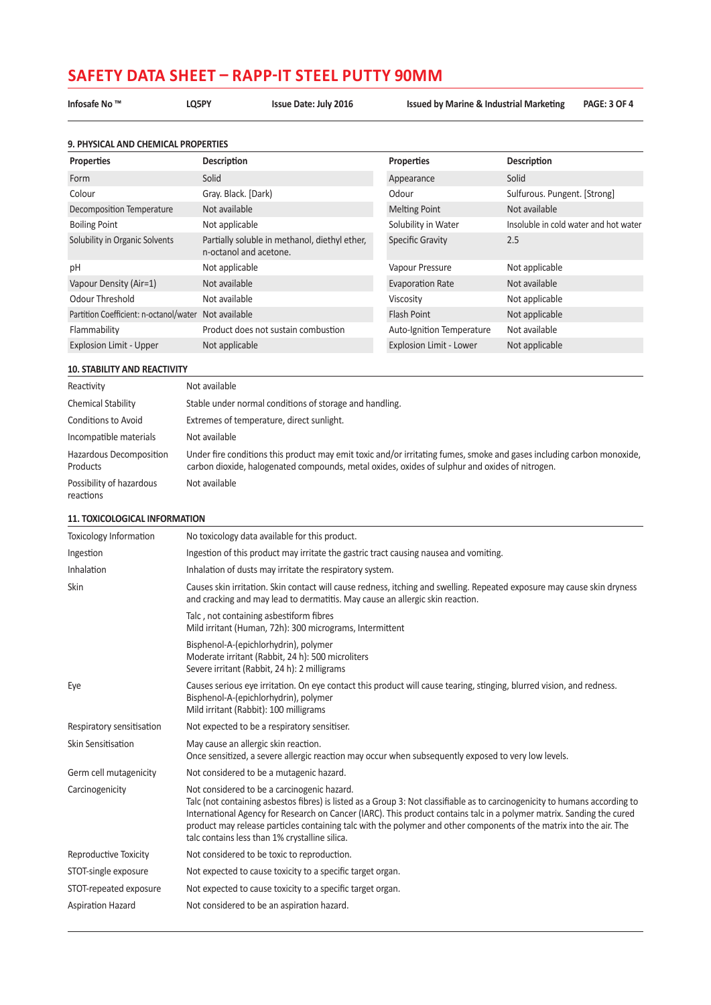**Infosafe No ™ LQ5PY Issue Date: July 2016 Issued by Marine & Industrial Marketing PAGE: 3 OF 4**

| 9. PHYSICAL AND CHEMICAL PROPERTIES    |                                                                         |                           |                                       |  |  |
|----------------------------------------|-------------------------------------------------------------------------|---------------------------|---------------------------------------|--|--|
| <b>Properties</b>                      | Description                                                             | Properties                | <b>Description</b>                    |  |  |
| Form                                   | Solid                                                                   | Appearance                | Solid                                 |  |  |
| Colour                                 | Gray. Black. [Dark)                                                     | Odour                     | Sulfurous. Pungent. [Strong]          |  |  |
| Decomposition Temperature              | Not available                                                           | <b>Melting Point</b>      | Not available                         |  |  |
| <b>Boiling Point</b>                   | Not applicable                                                          | Solubility in Water       | Insoluble in cold water and hot water |  |  |
| Solubility in Organic Solvents         | Partially soluble in methanol, diethyl ether,<br>n-octanol and acetone. | Specific Gravity          | 2.5                                   |  |  |
| pH                                     | Not applicable                                                          | Vapour Pressure           | Not applicable                        |  |  |
| Vapour Density (Air=1)                 | Not available                                                           | <b>Evaporation Rate</b>   | Not available                         |  |  |
| Odour Threshold                        | Not available                                                           | Viscosity                 | Not applicable                        |  |  |
| Partition Coefficient: n-octanol/water | Not available                                                           | <b>Flash Point</b>        | Not applicable                        |  |  |
| Flammability                           | Product does not sustain combustion                                     | Auto-Ignition Temperature | Not available                         |  |  |
| <b>Explosion Limit - Upper</b>         | Not applicable                                                          | Explosion Limit - Lower   | Not applicable                        |  |  |

#### **10. STABILITY AND REACTIVITY**

| Reactivity                            | Not available                                                                                                                                                                                                           |
|---------------------------------------|-------------------------------------------------------------------------------------------------------------------------------------------------------------------------------------------------------------------------|
| <b>Chemical Stability</b>             | Stable under normal conditions of storage and handling.                                                                                                                                                                 |
| Conditions to Avoid                   | Extremes of temperature, direct sunlight.                                                                                                                                                                               |
| Incompatible materials                | Not available                                                                                                                                                                                                           |
| Hazardous Decomposition<br>Products   | Under fire conditions this product may emit toxic and/or irritating fumes, smoke and gases including carbon monoxide,<br>carbon dioxide, halogenated compounds, metal oxides, oxides of sulphur and oxides of nitrogen. |
| Possibility of hazardous<br>reactions | Not available                                                                                                                                                                                                           |

### **11. TOXICOLOGICAL INFORMATION**

| <b>Toxicology Information</b> | No toxicology data available for this product.                                                                                                                                                                                                                                                                                                                                                                                                                               |
|-------------------------------|------------------------------------------------------------------------------------------------------------------------------------------------------------------------------------------------------------------------------------------------------------------------------------------------------------------------------------------------------------------------------------------------------------------------------------------------------------------------------|
| Ingestion                     | Ingestion of this product may irritate the gastric tract causing nausea and vomiting.                                                                                                                                                                                                                                                                                                                                                                                        |
| Inhalation                    | Inhalation of dusts may irritate the respiratory system.                                                                                                                                                                                                                                                                                                                                                                                                                     |
| <b>Skin</b>                   | Causes skin irritation. Skin contact will cause redness, itching and swelling. Repeated exposure may cause skin dryness<br>and cracking and may lead to dermatitis. May cause an allergic skin reaction.                                                                                                                                                                                                                                                                     |
|                               | Talc, not containing asbestiform fibres<br>Mild irritant (Human, 72h): 300 micrograms, Intermittent                                                                                                                                                                                                                                                                                                                                                                          |
|                               | Bisphenol-A-(epichlorhydrin), polymer<br>Moderate irritant (Rabbit, 24 h): 500 microliters<br>Severe irritant (Rabbit, 24 h): 2 milligrams                                                                                                                                                                                                                                                                                                                                   |
| Eye                           | Causes serious eye irritation. On eye contact this product will cause tearing, stinging, blurred vision, and redness.<br>Bisphenol-A-(epichlorhydrin), polymer<br>Mild irritant (Rabbit): 100 milligrams                                                                                                                                                                                                                                                                     |
| Respiratory sensitisation     | Not expected to be a respiratory sensitiser.                                                                                                                                                                                                                                                                                                                                                                                                                                 |
| Skin Sensitisation            | May cause an allergic skin reaction.<br>Once sensitized, a severe allergic reaction may occur when subsequently exposed to very low levels.                                                                                                                                                                                                                                                                                                                                  |
| Germ cell mutagenicity        | Not considered to be a mutagenic hazard.                                                                                                                                                                                                                                                                                                                                                                                                                                     |
| Carcinogenicity               | Not considered to be a carcinogenic hazard.<br>Talc (not containing asbestos fibres) is listed as a Group 3: Not classifiable as to carcinogenicity to humans according to<br>International Agency for Research on Cancer (IARC). This product contains talc in a polymer matrix. Sanding the cured<br>product may release particles containing talc with the polymer and other components of the matrix into the air. The<br>talc contains less than 1% crystalline silica. |
| Reproductive Toxicity         | Not considered to be toxic to reproduction.                                                                                                                                                                                                                                                                                                                                                                                                                                  |
| STOT-single exposure          | Not expected to cause toxicity to a specific target organ.                                                                                                                                                                                                                                                                                                                                                                                                                   |
| STOT-repeated exposure        | Not expected to cause toxicity to a specific target organ.                                                                                                                                                                                                                                                                                                                                                                                                                   |
| <b>Aspiration Hazard</b>      | Not considered to be an aspiration hazard.                                                                                                                                                                                                                                                                                                                                                                                                                                   |
|                               |                                                                                                                                                                                                                                                                                                                                                                                                                                                                              |